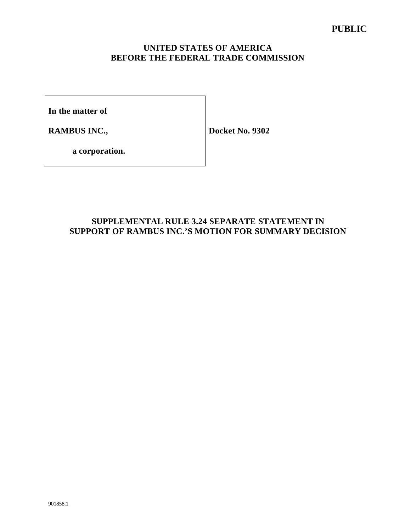## **UNITED STATES OF AMERICA BEFORE THE FEDERAL TRADE COMMISSION**

**In the matter of**

**RAMBUS INC.,** 

**Docket No. 9302**

**a corporation.**

## **SUPPLEMENTAL RULE 3.24 SEPARATE STATEMENT IN SUPPORT OF RAMBUS INC.'S MOTION FOR SUMMARY DECISION**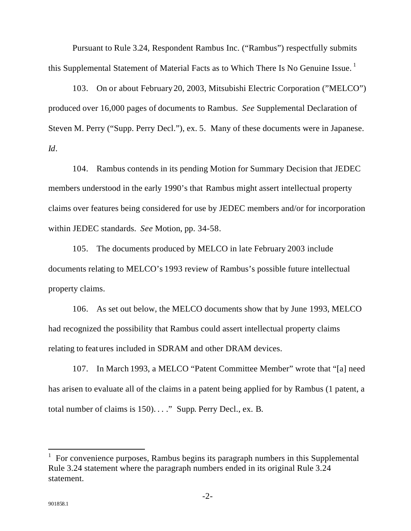Pursuant to Rule 3.24, Respondent Rambus Inc. ("Rambus") respectfully submits this Supplemental Statement of Material Facts as to Which There Is No Genuine Issue.<sup>1</sup>

103. On or about February 20, 2003, Mitsubishi Electric Corporation ("MELCO") produced over 16,000 pages of documents to Rambus. *See* Supplemental Declaration of Steven M. Perry ("Supp. Perry Decl."), ex. 5. Many of these documents were in Japanese. *Id*.

104. Rambus contends in its pending Motion for Summary Decision that JEDEC members understood in the early 1990's that Rambus might assert intellectual property claims over features being considered for use by JEDEC members and/or for incorporation within JEDEC standards. *See* Motion, pp. 34-58.

105. The documents produced by MELCO in late February 2003 include documents relating to MELCO's 1993 review of Rambus's possible future intellectual property claims.

106. As set out below, the MELCO documents show that by June 1993, MELCO had recognized the possibility that Rambus could assert intellectual property claims relating to features included in SDRAM and other DRAM devices.

107. In March 1993, a MELCO "Patent Committee Member" wrote that "[a] need has arisen to evaluate all of the claims in a patent being applied for by Rambus (1 patent, a total number of claims is 150). . . ." Supp. Perry Decl., ex. B.

l

<sup>1</sup> For convenience purposes, Rambus begins its paragraph numbers in this Supplemental Rule 3.24 statement where the paragraph numbers ended in its original Rule 3.24 statement.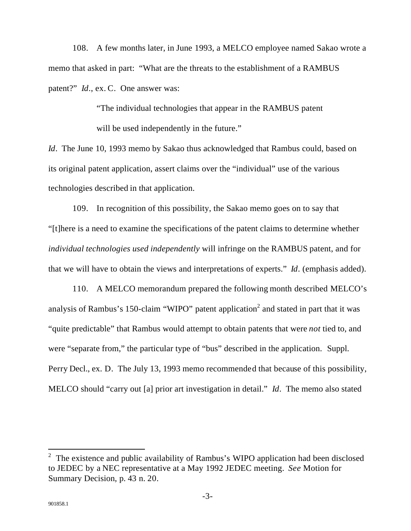108. A few months later, in June 1993, a MELCO employee named Sakao wrote a memo that asked in part: "What are the threats to the establishment of a RAMBUS patent?" *Id*., ex. C. One answer was:

> "The individual technologies that appear in the RAMBUS patent will be used independently in the future."

*Id*. The June 10, 1993 memo by Sakao thus acknowledged that Rambus could, based on its original patent application, assert claims over the "individual" use of the various technologies described in that application.

109. In recognition of this possibility, the Sakao memo goes on to say that "[t]here is a need to examine the specifications of the patent claims to determine whether *individual technologies used independently* will infringe on the RAMBUS patent, and for that we will have to obtain the views and interpretations of experts." *Id*. (emphasis added).

110. A MELCO memorandum prepared the following month described MELCO's analysis of Rambus's 150-claim "WIPO" patent application<sup>2</sup> and stated in part that it was "quite predictable" that Rambus would attempt to obtain patents that were *not* tied to, and were "separate from," the particular type of "bus" described in the application. Suppl. Perry Decl., ex. D. The July 13, 1993 memo recommended that because of this possibility, MELCO should "carry out [a] prior art investigation in detail." *Id*. The memo also stated

l

<sup>2</sup> The existence and public availability of Rambus's WIPO application had been disclosed to JEDEC by a NEC representative at a May 1992 JEDEC meeting. *See* Motion for Summary Decision, p. 43 n. 20.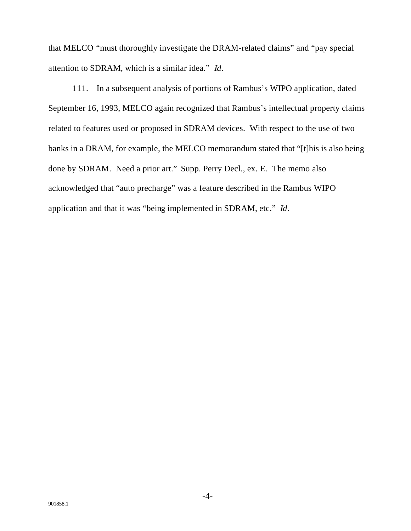that MELCO "must thoroughly investigate the DRAM-related claims" and "pay special attention to SDRAM, which is a similar idea." *Id*.

111. In a subsequent analysis of portions of Rambus's WIPO application, dated September 16, 1993, MELCO again recognized that Rambus's intellectual property claims related to features used or proposed in SDRAM devices. With respect to the use of two banks in a DRAM, for example, the MELCO memorandum stated that "[t]his is also being done by SDRAM. Need a prior art." Supp. Perry Decl., ex. E. The memo also acknowledged that "auto precharge" was a feature described in the Rambus WIPO application and that it was "being implemented in SDRAM, etc." *Id*.